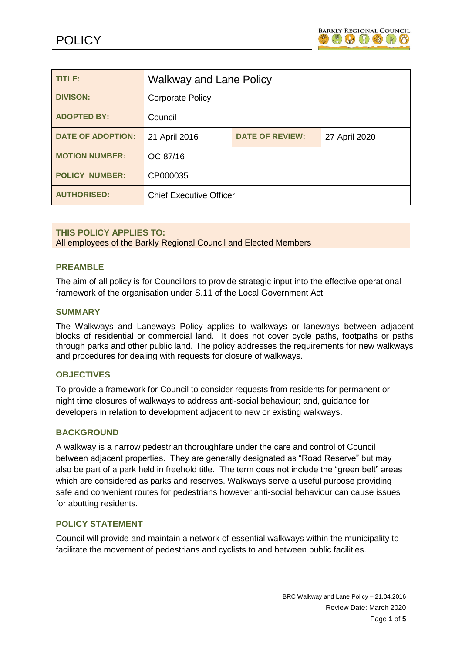

| <b>TITLE:</b>            | <b>Walkway and Lane Policy</b> |                        |               |
|--------------------------|--------------------------------|------------------------|---------------|
| <b>DIVISON:</b>          | <b>Corporate Policy</b>        |                        |               |
| <b>ADOPTED BY:</b>       | Council                        |                        |               |
| <b>DATE OF ADOPTION:</b> | 21 April 2016                  | <b>DATE OF REVIEW:</b> | 27 April 2020 |
| <b>MOTION NUMBER:</b>    | OC 87/16                       |                        |               |
| <b>POLICY NUMBER:</b>    | CP000035                       |                        |               |
| <b>AUTHORISED:</b>       | <b>Chief Executive Officer</b> |                        |               |

## **THIS POLICY APPLIES TO:**

All employees of the Barkly Regional Council and Elected Members

#### **PREAMBLE**

The aim of all policy is for Councillors to provide strategic input into the effective operational framework of the organisation under S.11 of the Local Government Act

#### **SUMMARY**

The Walkways and Laneways Policy applies to walkways or laneways between adjacent blocks of residential or commercial land. It does not cover cycle paths, footpaths or paths through parks and other public land. The policy addresses the requirements for new walkways and procedures for dealing with requests for closure of walkways.

#### **OBJECTIVES**

To provide a framework for Council to consider requests from residents for permanent or night time closures of walkways to address anti-social behaviour; and, guidance for developers in relation to development adjacent to new or existing walkways.

#### **BACKGROUND**

A walkway is a narrow pedestrian thoroughfare under the care and control of Council between adjacent properties. They are generally designated as "Road Reserve" but may also be part of a park held in freehold title. The term does not include the "green belt" areas which are considered as parks and reserves. Walkways serve a useful purpose providing safe and convenient routes for pedestrians however anti-social behaviour can cause issues for abutting residents.

## **POLICY STATEMENT**

Council will provide and maintain a network of essential walkways within the municipality to facilitate the movement of pedestrians and cyclists to and between public facilities.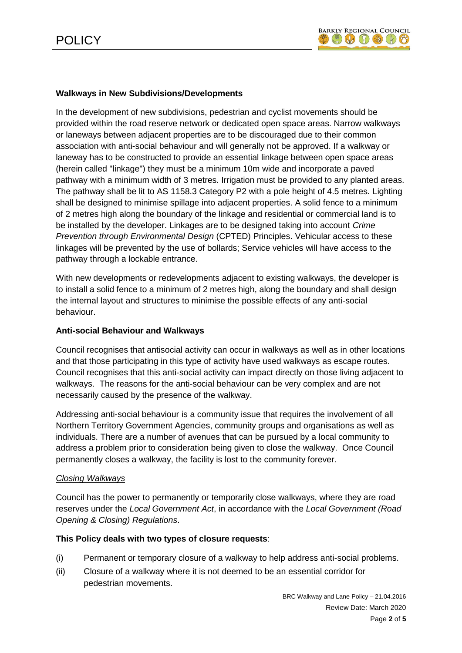# **Walkways in New Subdivisions/Developments**

In the development of new subdivisions, pedestrian and cyclist movements should be provided within the road reserve network or dedicated open space areas. Narrow walkways or laneways between adjacent properties are to be discouraged due to their common association with anti-social behaviour and will generally not be approved. If a walkway or laneway has to be constructed to provide an essential linkage between open space areas (herein called "linkage") they must be a minimum 10m wide and incorporate a paved pathway with a minimum width of 3 metres. Irrigation must be provided to any planted areas. The pathway shall be lit to AS 1158.3 Category P2 with a pole height of 4.5 metres. Lighting shall be designed to minimise spillage into adjacent properties. A solid fence to a minimum of 2 metres high along the boundary of the linkage and residential or commercial land is to be installed by the developer. Linkages are to be designed taking into account *Crime Prevention through Environmental Design* (CPTED) Principles. Vehicular access to these linkages will be prevented by the use of bollards; Service vehicles will have access to the pathway through a lockable entrance.

With new developments or redevelopments adjacent to existing walkways, the developer is to install a solid fence to a minimum of 2 metres high, along the boundary and shall design the internal layout and structures to minimise the possible effects of any anti-social behaviour.

## **Anti-social Behaviour and Walkways**

Council recognises that antisocial activity can occur in walkways as well as in other locations and that those participating in this type of activity have used walkways as escape routes. Council recognises that this anti-social activity can impact directly on those living adjacent to walkways. The reasons for the anti-social behaviour can be very complex and are not necessarily caused by the presence of the walkway.

Addressing anti-social behaviour is a community issue that requires the involvement of all Northern Territory Government Agencies, community groups and organisations as well as individuals. There are a number of avenues that can be pursued by a local community to address a problem prior to consideration being given to close the walkway. Once Council permanently closes a walkway, the facility is lost to the community forever.

## *Closing Walkways*

Council has the power to permanently or temporarily close walkways, where they are road reserves under the *Local Government Act*, in accordance with the *Local Government (Road Opening & Closing) Regulations*.

## **This Policy deals with two types of closure requests**:

- (i) Permanent or temporary closure of a walkway to help address anti-social problems.
- (ii) Closure of a walkway where it is not deemed to be an essential corridor for pedestrian movements.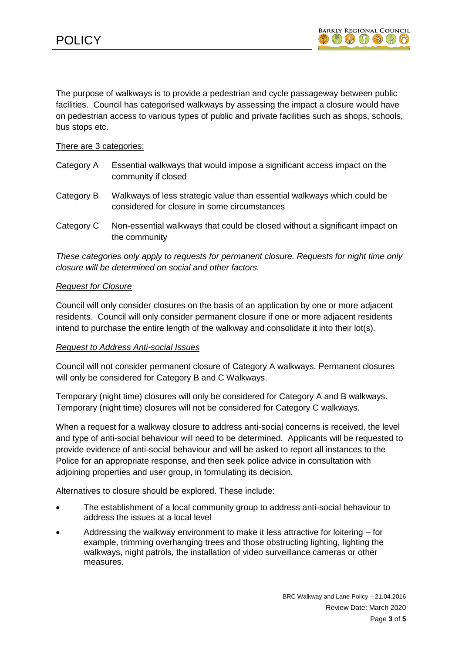The purpose of walkways is to provide a pedestrian and cycle passageway between public facilities. Council has categorised walkways by assessing the impact a closure would have on pedestrian access to various types of public and private facilities such as shops, schools, bus stops etc.

## There are 3 categories:

| Category A | Essential walkways that would impose a significant access impact on the<br>community if closed                          |
|------------|-------------------------------------------------------------------------------------------------------------------------|
| Category B | Walkways of less strategic value than essential walkways which could be<br>considered for closure in some circumstances |
| Category C | Non-essential walkways that could be closed without a significant impact on<br>the community                            |

*These categories only apply to requests for permanent closure. Requests for night time only closure will be determined on social and other factors.*

# *Request for Closure*

Council will only consider closures on the basis of an application by one or more adjacent residents. Council will only consider permanent closure if one or more adjacent residents intend to purchase the entire length of the walkway and consolidate it into their lot(s).

## *Request to Address Anti-social Issues*

Council will not consider permanent closure of Category A walkways. Permanent closures will only be considered for Category B and C Walkways.

Temporary (night time) closures will only be considered for Category A and B walkways. Temporary (night time) closures will not be considered for Category C walkways.

When a request for a walkway closure to address anti-social concerns is received, the level and type of anti-social behaviour will need to be determined. Applicants will be requested to provide evidence of anti-social behaviour and will be asked to report all instances to the Police for an appropriate response, and then seek police advice in consultation with adjoining properties and user group, in formulating its decision.

Alternatives to closure should be explored. These include:

- The establishment of a local community group to address anti-social behaviour to address the issues at a local level
- Addressing the walkway environment to make it less attractive for loitering for example, trimming overhanging trees and those obstructing lighting, lighting the walkways, night patrols, the installation of video surveillance cameras or other measures.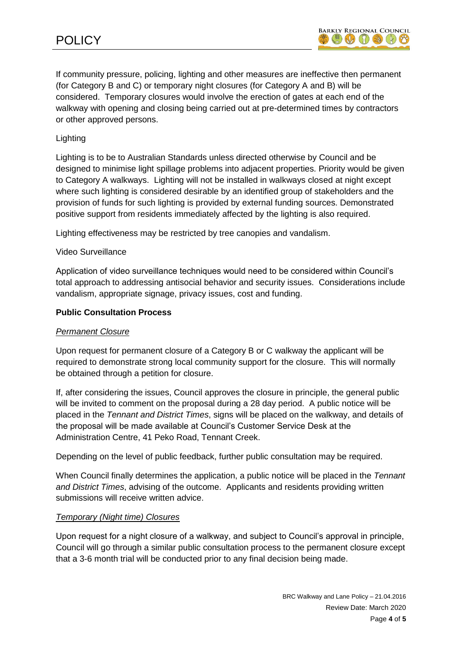If community pressure, policing, lighting and other measures are ineffective then permanent (for Category B and C) or temporary night closures (for Category A and B) will be considered. Temporary closures would involve the erection of gates at each end of the walkway with opening and closing being carried out at pre-determined times by contractors or other approved persons.

# Lighting

Lighting is to be to Australian Standards unless directed otherwise by Council and be designed to minimise light spillage problems into adjacent properties. Priority would be given to Category A walkways. Lighting will not be installed in walkways closed at night except where such lighting is considered desirable by an identified group of stakeholders and the provision of funds for such lighting is provided by external funding sources. Demonstrated positive support from residents immediately affected by the lighting is also required.

Lighting effectiveness may be restricted by tree canopies and vandalism.

#### Video Surveillance

Application of video surveillance techniques would need to be considered within Council's total approach to addressing antisocial behavior and security issues. Considerations include vandalism, appropriate signage, privacy issues, cost and funding.

#### **Public Consultation Process**

#### *Permanent Closure*

Upon request for permanent closure of a Category B or C walkway the applicant will be required to demonstrate strong local community support for the closure. This will normally be obtained through a petition for closure.

If, after considering the issues, Council approves the closure in principle, the general public will be invited to comment on the proposal during a 28 day period. A public notice will be placed in the *Tennant and District Times*, signs will be placed on the walkway, and details of the proposal will be made available at Council's Customer Service Desk at the Administration Centre, 41 Peko Road, Tennant Creek.

Depending on the level of public feedback, further public consultation may be required.

When Council finally determines the application, a public notice will be placed in the *Tennant and District Times*, advising of the outcome. Applicants and residents providing written submissions will receive written advice.

## *Temporary (Night time) Closures*

Upon request for a night closure of a walkway, and subject to Council's approval in principle, Council will go through a similar public consultation process to the permanent closure except that a 3-6 month trial will be conducted prior to any final decision being made.